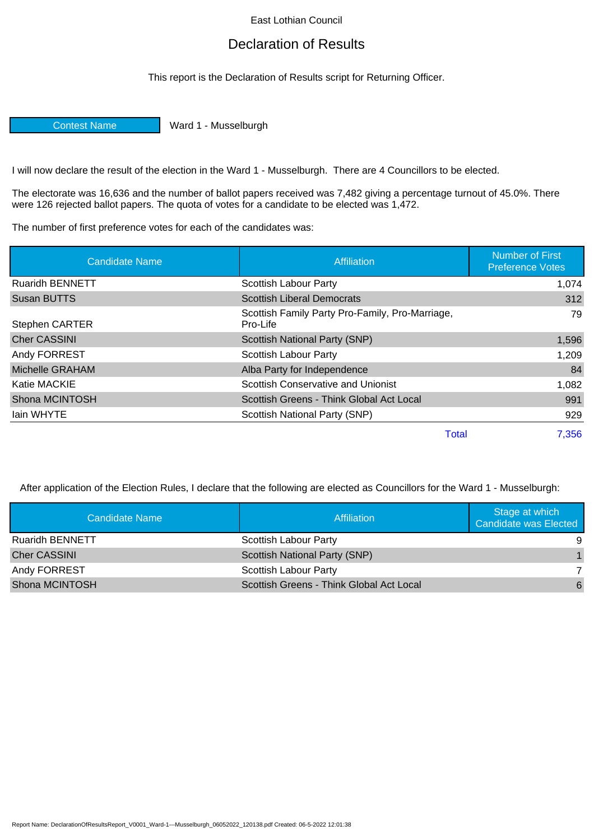## East Lothian Council

## Declaration of Results

This report is the Declaration of Results script for Returning Officer.

Contest Name Ward 1 - Musselburgh

I will now declare the result of the election in the Ward 1 - Musselburgh. There are 4 Councillors to be elected.

The electorate was 16,636 and the number of ballot papers received was 7,482 giving a percentage turnout of 45.0%. There were 126 rejected ballot papers. The quota of votes for a candidate to be elected was 1,472.

The number of first preference votes for each of the candidates was:

| <b>Candidate Name</b>  | Affiliation                                                 | <b>Number of First</b><br><b>Preference Votes</b> |
|------------------------|-------------------------------------------------------------|---------------------------------------------------|
| <b>Ruaridh BENNETT</b> | Scottish Labour Party                                       | 1,074                                             |
| <b>Susan BUTTS</b>     | <b>Scottish Liberal Democrats</b>                           | 312                                               |
| <b>Stephen CARTER</b>  | Scottish Family Party Pro-Family, Pro-Marriage,<br>Pro-Life | 79                                                |
| <b>Cher CASSINI</b>    | <b>Scottish National Party (SNP)</b>                        | 1,596                                             |
| Andy FORREST           | Scottish Labour Party                                       | 1,209                                             |
| Michelle GRAHAM        | Alba Party for Independence                                 | 84                                                |
| Katie MACKIE           | Scottish Conservative and Unionist                          | 1,082                                             |
| Shona MCINTOSH         | Scottish Greens - Think Global Act Local                    | 991                                               |
| lain WHYTE             | Scottish National Party (SNP)                               | 929                                               |
|                        | <b>Total</b>                                                | 7,356                                             |

After application of the Election Rules, I declare that the following are elected as Councillors for the Ward 1 - Musselburgh:

| Candidate Name         | Affiliation                              | Stage at which<br>Candidate was Elected |
|------------------------|------------------------------------------|-----------------------------------------|
| <b>Ruaridh BENNETT</b> | Scottish Labour Party                    | -9                                      |
| <b>Cher CASSINI</b>    | <b>Scottish National Party (SNP)</b>     |                                         |
| Andy FORREST           | Scottish Labour Party                    |                                         |
| Shona MCINTOSH         | Scottish Greens - Think Global Act Local | 6                                       |